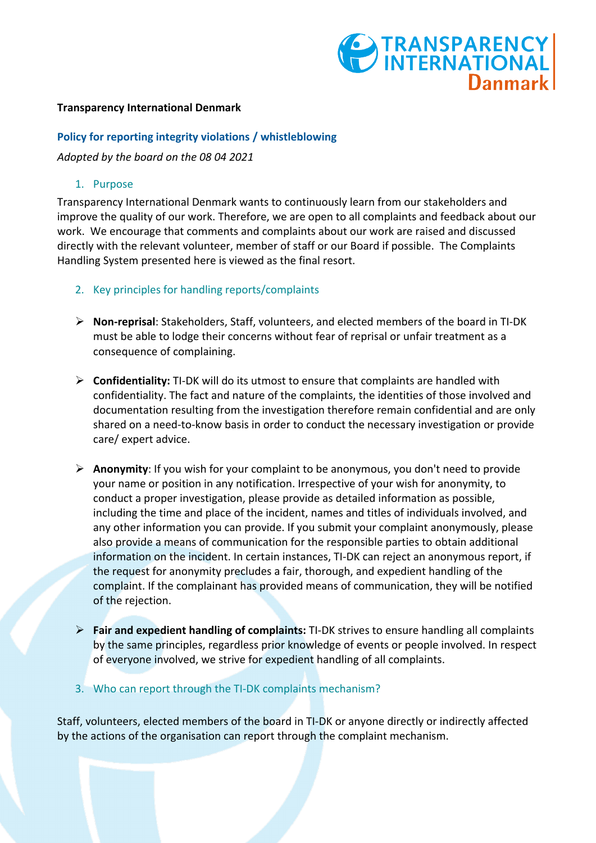# TRANSPARENCY Danmark

#### **Transparency International Denmark**

#### **Policy for reporting integrity violations / whistleblowing**

*Adopted by the board on the 08 04 2021*

### 1. Purpose

Transparency International Denmark wants to continuously learn from our stakeholders and improve the quality of our work. Therefore, we are open to all complaints and feedback about our work. We encourage that comments and complaints about our work are raised and discussed directly with the relevant volunteer, member of staff or our Board if possible. The Complaints Handling System presented here is viewed as the final resort.

- 2. Key principles for handling reports/complaints
- Ø **Non-reprisal**: Stakeholders, Staff, volunteers, and elected members of the board in TI-DK must be able to lodge their concerns without fear of reprisal or unfair treatment as a consequence of complaining.
- Ø **Confidentiality:** TI-DK will do its utmost to ensure that complaints are handled with confidentiality. The fact and nature of the complaints, the identities of those involved and documentation resulting from the investigation therefore remain confidential and are only shared on a need-to-know basis in order to conduct the necessary investigation or provide care/ expert advice.
- Ø **Anonymity**: If you wish for your complaint to be anonymous, you don't need to provide your name or position in any notification. Irrespective of your wish for anonymity, to conduct a proper investigation, please provide as detailed information as possible, including the time and place of the incident, names and titles of individuals involved, and any other information you can provide. If you submit your complaint anonymously, please also provide a means of communication for the responsible parties to obtain additional information on the incident. In certain instances, TI-DK can reject an anonymous report, if the request for anonymity precludes a fair, thorough, and expedient handling of the complaint. If the complainant has provided means of communication, they will be notified of the rejection.
- Ø **Fair and expedient handling of complaints:** TI-DK strives to ensure handling all complaints by the same principles, regardless prior knowledge of events or people involved. In respect of everyone involved, we strive for expedient handling of all complaints.
- 3. Who can report through the TI-DK complaints mechanism?

Staff, volunteers, elected members of the board in TI-DK or anyone directly or indirectly affected by the actions of the organisation can report through the complaint mechanism.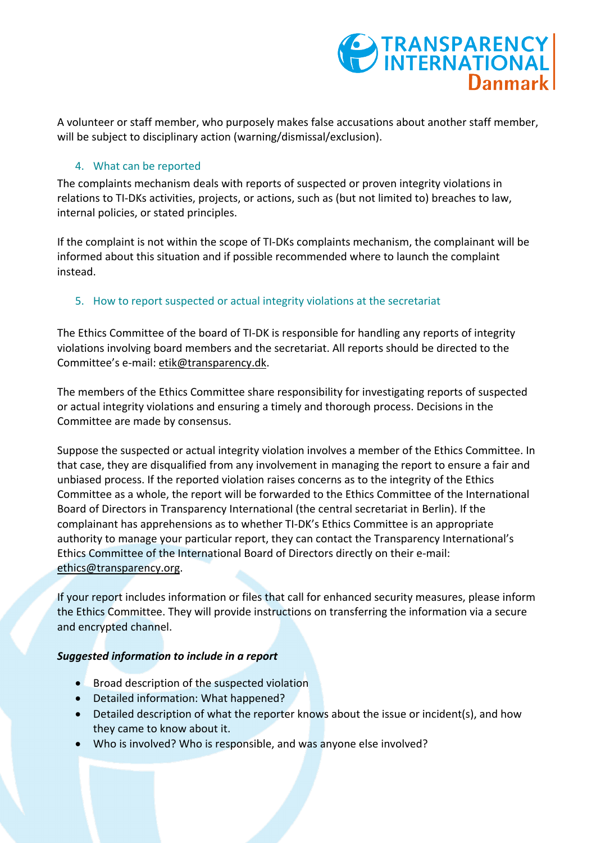

A volunteer or staff member, who purposely makes false accusations about another staff member, will be subject to disciplinary action (warning/dismissal/exclusion).

### 4. What can be reported

The complaints mechanism deals with reports of suspected or proven integrity violations in relations to TI-DKs activities, projects, or actions, such as (but not limited to) breaches to law, internal policies, or stated principles.

If the complaint is not within the scope of TI-DKs complaints mechanism, the complainant will be informed about this situation and if possible recommended where to launch the complaint instead.

## 5. How to report suspected or actual integrity violations at the secretariat

The Ethics Committee of the board of TI-DK is responsible for handling any reports of integrity violations involving board members and the secretariat. All reports should be directed to the Committee's e-mail: etik@transparency.dk.

The members of the Ethics Committee share responsibility for investigating reports of suspected or actual integrity violations and ensuring a timely and thorough process. Decisions in the Committee are made by consensus.

Suppose the suspected or actual integrity violation involves a member of the Ethics Committee. In that case, they are disqualified from any involvement in managing the report to ensure a fair and unbiased process. If the reported violation raises concerns as to the integrity of the Ethics Committee as a whole, the report will be forwarded to the Ethics Committee of the International Board of Directors in Transparency International (the central secretariat in Berlin). If the complainant has apprehensions as to whether TI-DK's Ethics Committee is an appropriate authority to manage your particular report, they can contact the Transparency International's Ethics Committee of the International Board of Directors directly on their e-mail: ethics@transparency.org.

If your report includes information or files that call for enhanced security measures, please inform the Ethics Committee. They will provide instructions on transferring the information via a secure and encrypted channel.

## *Suggested information to include in a report*

- Broad description of the suspected violation
- Detailed information: What happened?
- Detailed description of what the reporter knows about the issue or incident(s), and how they came to know about it.
- Who is involved? Who is responsible, and was anyone else involved?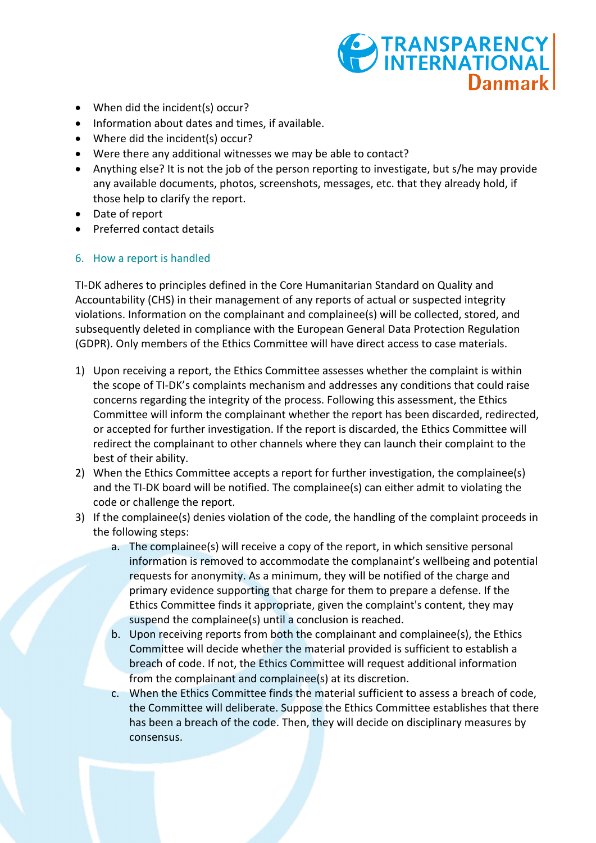- TRANSPARENCY **Danmark**
- When did the incident(s) occur?
- Information about dates and times, if available.
- Where did the incident(s) occur?
- Were there any additional witnesses we may be able to contact?
- Anything else? It is not the job of the person reporting to investigate, but s/he may provide any available documents, photos, screenshots, messages, etc. that they already hold, if those help to clarify the report.
- Date of report
- Preferred contact details

## 6. How a report is handled

TI-DK adheres to principles defined in the Core Humanitarian Standard on Quality and Accountability (CHS) in their management of any reports of actual or suspected integrity violations. Information on the complainant and complainee(s) will be collected, stored, and subsequently deleted in compliance with the European General Data Protection Regulation (GDPR). Only members of the Ethics Committee will have direct access to case materials.

- 1) Upon receiving a report, the Ethics Committee assesses whether the complaint is within the scope of TI-DK's complaints mechanism and addresses any conditions that could raise concerns regarding the integrity of the process. Following this assessment, the Ethics Committee will inform the complainant whether the report has been discarded, redirected, or accepted for further investigation. If the report is discarded, the Ethics Committee will redirect the complainant to other channels where they can launch their complaint to the best of their ability.
- 2) When the Ethics Committee accepts a report for further investigation, the complainee(s) and the TI-DK board will be notified. The complainee(s) can either admit to violating the code or challenge the report.
- 3) If the complainee(s) denies violation of the code, the handling of the complaint proceeds in the following steps:
	- a. The complainee(s) will receive a copy of the report, in which sensitive personal information is removed to accommodate the complanaint's wellbeing and potential requests for anonymity. As a minimum, they will be notified of the charge and primary evidence supporting that charge for them to prepare a defense. If the Ethics Committee finds it appropriate, given the complaint's content, they may suspend the complainee(s) until a conclusion is reached.
	- b. Upon receiving reports from both the complainant and complainee(s), the Ethics Committee will decide whether the material provided is sufficient to establish a breach of code. If not, the Ethics Committee will request additional information from the complainant and complainee(s) at its discretion.
	- c. When the Ethics Committee finds the material sufficient to assess a breach of code, the Committee will deliberate. Suppose the Ethics Committee establishes that there has been a breach of the code. Then, they will decide on disciplinary measures by consensus.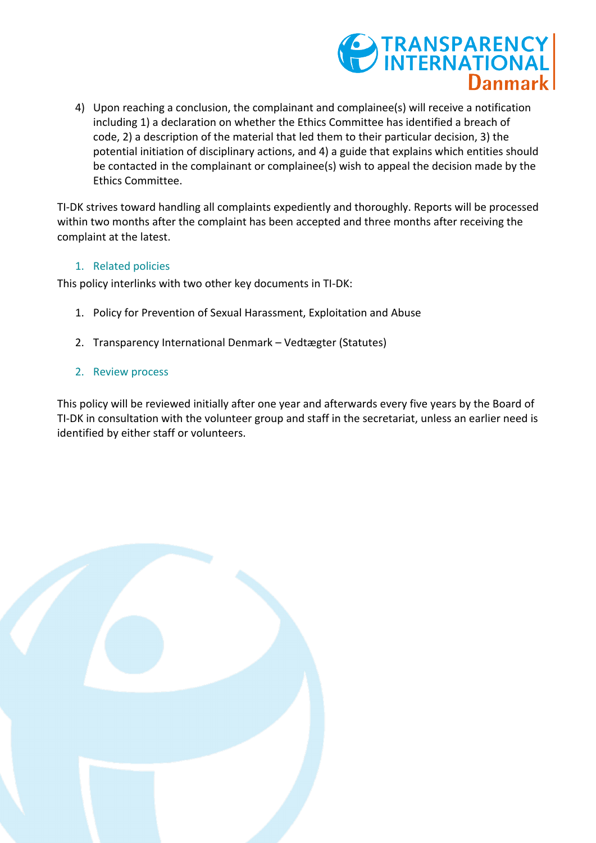

4) Upon reaching a conclusion, the complainant and complainee(s) will receive a notification including 1) a declaration on whether the Ethics Committee has identified a breach of code, 2) a description of the material that led them to their particular decision, 3) the potential initiation of disciplinary actions, and 4) a guide that explains which entities should be contacted in the complainant or complainee(s) wish to appeal the decision made by the Ethics Committee.

TI-DK strives toward handling all complaints expediently and thoroughly. Reports will be processed within two months after the complaint has been accepted and three months after receiving the complaint at the latest.

### 1. Related policies

This policy interlinks with two other key documents in TI-DK:

- 1. Policy for Prevention of Sexual Harassment, Exploitation and Abuse
- 2. Transparency International Denmark Vedtægter (Statutes)
- 2. Review process

This policy will be reviewed initially after one year and afterwards every five years by the Board of TI-DK in consultation with the volunteer group and staff in the secretariat, unless an earlier need is identified by either staff or volunteers.

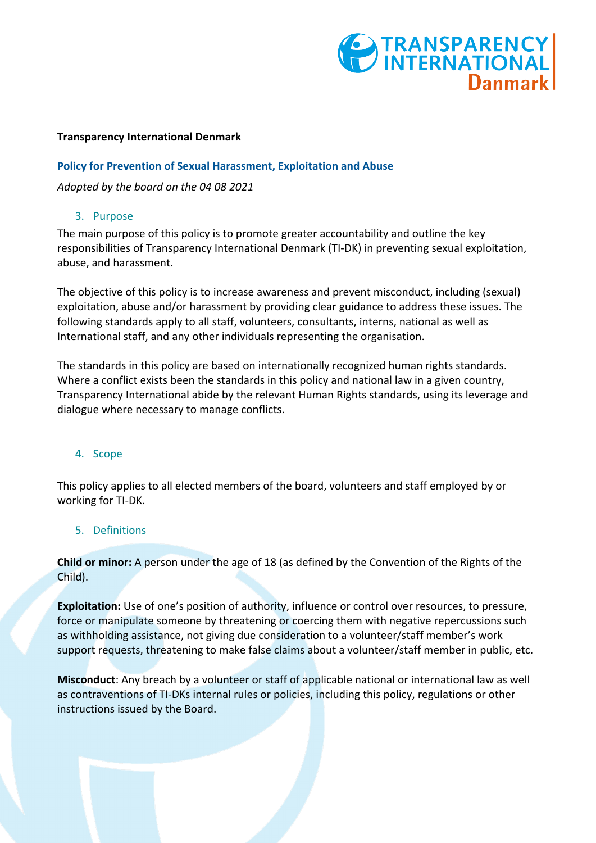

#### **Transparency International Denmark**

### **Policy for Prevention of Sexual Harassment, Exploitation and Abuse**

*Adopted by the board on the 04 08 2021*

## 3. Purpose

The main purpose of this policy is to promote greater accountability and outline the key responsibilities of Transparency International Denmark (TI-DK) in preventing sexual exploitation, abuse, and harassment.

The objective of this policy is to increase awareness and prevent misconduct, including (sexual) exploitation, abuse and/or harassment by providing clear guidance to address these issues. The following standards apply to all staff, volunteers, consultants, interns, national as well as International staff, and any other individuals representing the organisation.

The standards in this policy are based on internationally recognized human rights standards. Where a conflict exists been the standards in this policy and national law in a given country, Transparency International abide by the relevant Human Rights standards, using its leverage and dialogue where necessary to manage conflicts.

## 4. Scope

This policy applies to all elected members of the board, volunteers and staff employed by or working for TI-DK.

#### 5. Definitions

**Child or minor:** A person under the age of 18 (as defined by the Convention of the Rights of the Child).

**Exploitation:** Use of one's position of authority, influence or control over resources, to pressure, force or manipulate someone by threatening or coercing them with negative repercussions such as withholding assistance, not giving due consideration to a volunteer/staff member's work support requests, threatening to make false claims about a volunteer/staff member in public, etc.

**Misconduct**: Any breach by a volunteer or staff of applicable national or international law as well as contraventions of TI-DKs internal rules or policies, including this policy, regulations or other instructions issued by the Board.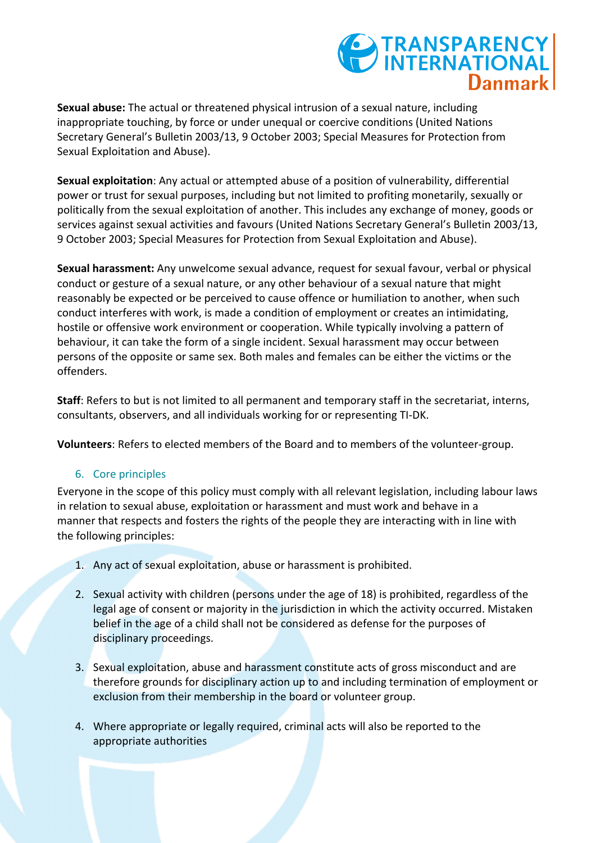## TRANSPARENCY Danmark

**Sexual abuse:** The actual or threatened physical intrusion of a sexual nature, including inappropriate touching, by force or under unequal or coercive conditions (United Nations Secretary General's Bulletin 2003/13, 9 October 2003; Special Measures for Protection from Sexual Exploitation and Abuse).

**Sexual exploitation**: Any actual or attempted abuse of a position of vulnerability, differential power or trust for sexual purposes, including but not limited to profiting monetarily, sexually or politically from the sexual exploitation of another. This includes any exchange of money, goods or services against sexual activities and favours (United Nations Secretary General's Bulletin 2003/13, 9 October 2003; Special Measures for Protection from Sexual Exploitation and Abuse).

**Sexual harassment:** Any unwelcome sexual advance, request for sexual favour, verbal or physical conduct or gesture of a sexual nature, or any other behaviour of a sexual nature that might reasonably be expected or be perceived to cause offence or humiliation to another, when such conduct interferes with work, is made a condition of employment or creates an intimidating, hostile or offensive work environment or cooperation. While typically involving a pattern of behaviour, it can take the form of a single incident. Sexual harassment may occur between persons of the opposite or same sex. Both males and females can be either the victims or the offenders.

**Staff**: Refers to but is not limited to all permanent and temporary staff in the secretariat, interns, consultants, observers, and all individuals working for or representing TI-DK.

**Volunteers**: Refers to elected members of the Board and to members of the volunteer-group.

## 6. Core principles

Everyone in the scope of this policy must comply with all relevant legislation, including labour laws in relation to sexual abuse, exploitation or harassment and must work and behave in a manner that respects and fosters the rights of the people they are interacting with in line with the following principles:

- 1. Any act of sexual exploitation, abuse or harassment is prohibited.
- 2. Sexual activity with children (persons under the age of 18) is prohibited, regardless of the legal age of consent or majority in the jurisdiction in which the activity occurred. Mistaken belief in the age of a child shall not be considered as defense for the purposes of disciplinary proceedings.
- 3. Sexual exploitation, abuse and harassment constitute acts of gross misconduct and are therefore grounds for disciplinary action up to and including termination of employment or exclusion from their membership in the board or volunteer group.
- 4. Where appropriate or legally required, criminal acts will also be reported to the appropriate authorities